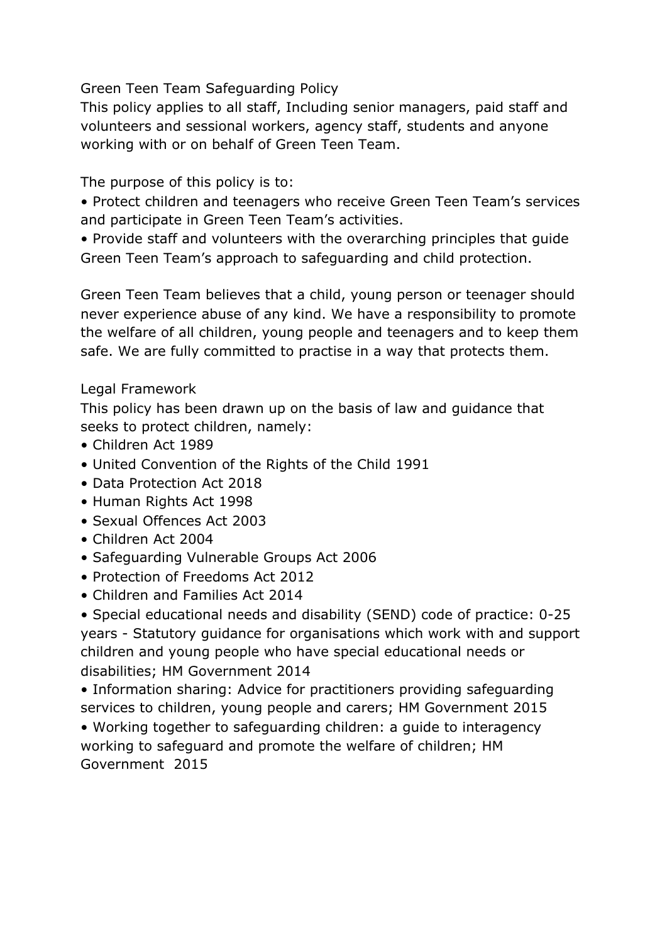Green Teen Team Safeguarding Policy

This policy applies to all staff, Including senior managers, paid staff and volunteers and sessional workers, agency staff, students and anyone working with or on behalf of Green Teen Team.

The purpose of this policy is to:

• Protect children and teenagers who receive Green Teen Team's services and participate in Green Teen Team's activities.

• Provide staff and volunteers with the overarching principles that guide Green Teen Team's approach to safeguarding and child protection.

Green Teen Team believes that a child, young person or teenager should never experience abuse of any kind. We have a responsibility to promote the welfare of all children, young people and teenagers and to keep them safe. We are fully committed to practise in a way that protects them.

## Legal Framework

This policy has been drawn up on the basis of law and guidance that seeks to protect children, namely:

- Children Act 1989
- United Convention of the Rights of the Child 1991
- Data Protection Act 2018
- Human Rights Act 1998
- Sexual Offences Act 2003
- Children Act 2004
- Safeguarding Vulnerable Groups Act 2006
- Protection of Freedoms Act 2012
- Children and Families Act 2014

• Special educational needs and disability (SEND) code of practice: 0-25 years - Statutory guidance for organisations which work with and support children and young people who have special educational needs or disabilities; HM Government 2014

• Information sharing: Advice for practitioners providing safeguarding services to children, young people and carers; HM Government 2015

• Working together to safeguarding children: a guide to interagency working to safeguard and promote the welfare of children; HM Government 2015